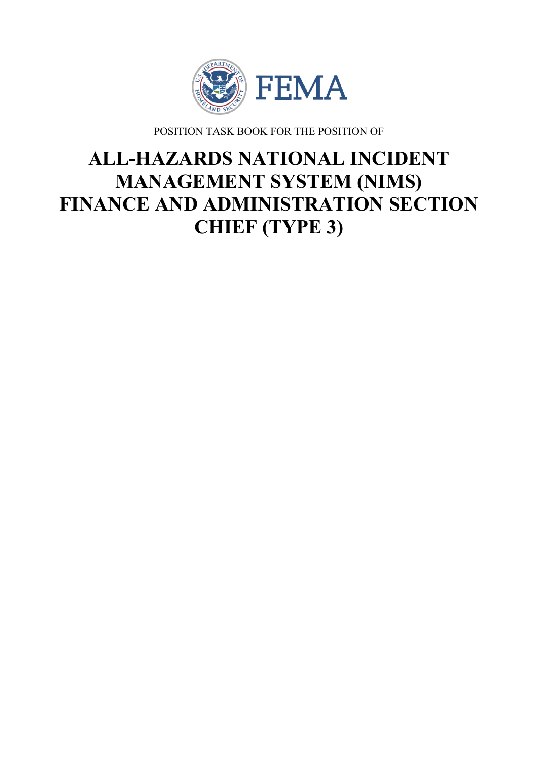

POSITION TASK BOOK FOR THE POSITION OF

# **ALL-HAZARDS NATIONAL INCIDENT MANAGEMENT SYSTEM (NIMS) FINANCE AND ADMINISTRATION SECTION CHIEF (TYPE 3)**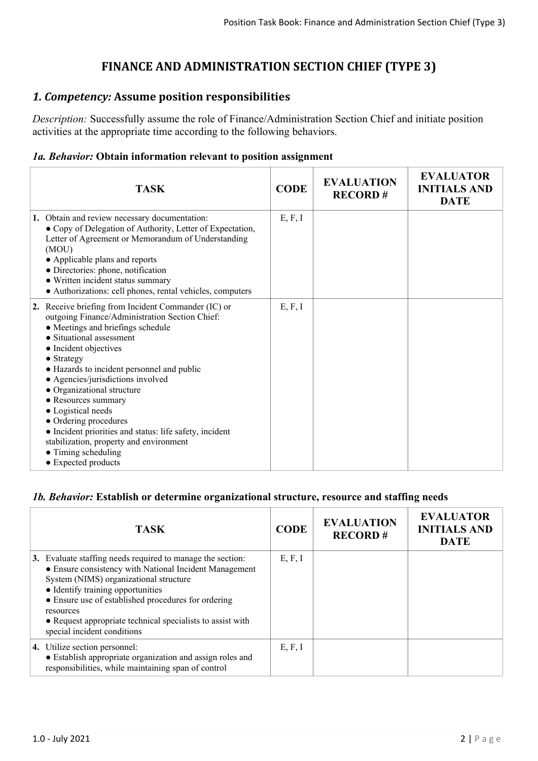# **FINANCE AND ADMINISTRATION SECTION CHIEF (TYPE 3)**

# *1. Competency:* **Assume position responsibilities**

*Description:* Successfully assume the role of Finance/Administration Section Chief and initiate position activities at the appropriate time according to the following behaviors.

### *1a. Behavior:* **Obtain information relevant to position assignment**

| <b>TASK</b>                                                                                                                                                                                                                                                                                                                                                                                                                                                                                                                                                      | <b>CODE</b> | <b>EVALUATION</b><br><b>RECORD#</b> | <b>EVALUATOR</b><br><b>INITIALS AND</b><br><b>DATE</b> |
|------------------------------------------------------------------------------------------------------------------------------------------------------------------------------------------------------------------------------------------------------------------------------------------------------------------------------------------------------------------------------------------------------------------------------------------------------------------------------------------------------------------------------------------------------------------|-------------|-------------------------------------|--------------------------------------------------------|
| 1. Obtain and review necessary documentation:<br>• Copy of Delegation of Authority, Letter of Expectation,<br>Letter of Agreement or Memorandum of Understanding<br>(MOU)<br>• Applicable plans and reports<br>• Directories: phone, notification<br>• Written incident status summary<br>• Authorizations: cell phones, rental vehicles, computers                                                                                                                                                                                                              | E, F, I     |                                     |                                                        |
| 2. Receive briefing from Incident Commander (IC) or<br>outgoing Finance/Administration Section Chief:<br>• Meetings and briefings schedule<br>• Situational assessment<br>• Incident objectives<br>$\bullet$ Strategy<br>• Hazards to incident personnel and public<br>• Agencies/jurisdictions involved<br>• Organizational structure<br>• Resources summary<br>• Logistical needs<br>• Ordering procedures<br>• Incident priorities and status: life safety, incident<br>stabilization, property and environment<br>• Timing scheduling<br>• Expected products | E, F, I     |                                     |                                                        |

#### *1b. Behavior:* **Establish or determine organizational structure, resource and staffing needs**

| <b>TASK</b>                                                                                                                                                                                                                                                                                                                                                          | <b>CODE</b> | <b>EVALUATION</b><br><b>RECORD#</b> | <b>EVALUATOR</b><br><b>INITIALS AND</b><br><b>DATE</b> |
|----------------------------------------------------------------------------------------------------------------------------------------------------------------------------------------------------------------------------------------------------------------------------------------------------------------------------------------------------------------------|-------------|-------------------------------------|--------------------------------------------------------|
| 3. Evaluate staffing needs required to manage the section:<br>• Ensure consistency with National Incident Management<br>System (NIMS) organizational structure<br>• Identify training opportunities<br>• Ensure use of established procedures for ordering<br>resources<br>• Request appropriate technical specialists to assist with<br>special incident conditions | E, F, I     |                                     |                                                        |
| 4. Utilize section personnel:<br>• Establish appropriate organization and assign roles and<br>responsibilities, while maintaining span of control                                                                                                                                                                                                                    | E, F, I     |                                     |                                                        |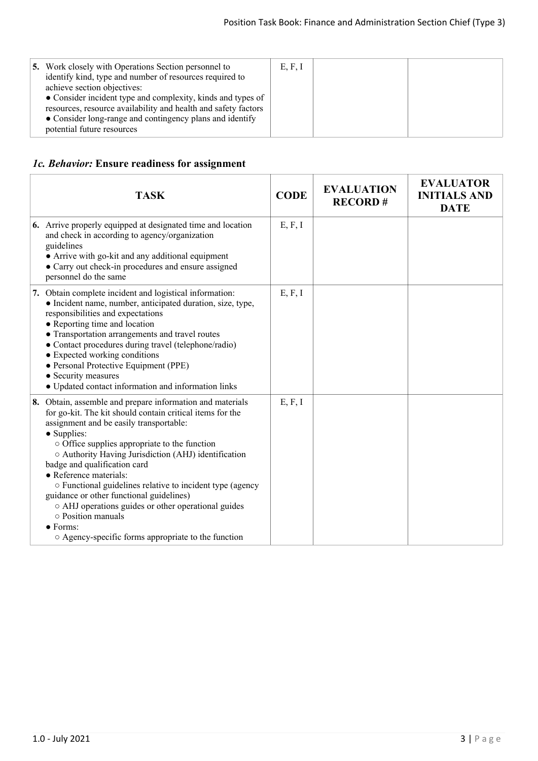| 5. Work closely with Operations Section personnel to<br>identify kind, type and number of resources required to<br>achieve section objectives:<br>• Consider incident type and complexity, kinds and types of<br>resources, resource availability and health and safety factors<br>• Consider long-range and contingency plans and identify<br>potential future resources | E, F, I |  |  |
|---------------------------------------------------------------------------------------------------------------------------------------------------------------------------------------------------------------------------------------------------------------------------------------------------------------------------------------------------------------------------|---------|--|--|
|---------------------------------------------------------------------------------------------------------------------------------------------------------------------------------------------------------------------------------------------------------------------------------------------------------------------------------------------------------------------------|---------|--|--|

## *1c. Behavior:* **Ensure readiness for assignment**

| <b>TASK</b>                                                                                                                                                                                                                                                                                                                                                                                                                                                                                                                                                                                                                | <b>CODE</b> | <b>EVALUATION</b><br><b>RECORD#</b> | <b>EVALUATOR</b><br><b>INITIALS AND</b><br><b>DATE</b> |
|----------------------------------------------------------------------------------------------------------------------------------------------------------------------------------------------------------------------------------------------------------------------------------------------------------------------------------------------------------------------------------------------------------------------------------------------------------------------------------------------------------------------------------------------------------------------------------------------------------------------------|-------------|-------------------------------------|--------------------------------------------------------|
| 6. Arrive properly equipped at designated time and location<br>and check in according to agency/organization<br>guidelines<br>• Arrive with go-kit and any additional equipment<br>• Carry out check-in procedures and ensure assigned<br>personnel do the same                                                                                                                                                                                                                                                                                                                                                            | E, F, I     |                                     |                                                        |
| 7. Obtain complete incident and logistical information:<br>• Incident name, number, anticipated duration, size, type,<br>responsibilities and expectations<br>• Reporting time and location<br>• Transportation arrangements and travel routes<br>• Contact procedures during travel (telephone/radio)<br>• Expected working conditions<br>· Personal Protective Equipment (PPE)<br>• Security measures<br>• Updated contact information and information links                                                                                                                                                             | E, F, I     |                                     |                                                        |
| 8. Obtain, assemble and prepare information and materials<br>for go-kit. The kit should contain critical items for the<br>assignment and be easily transportable:<br>• Supplies:<br>$\circ$ Office supplies appropriate to the function<br>○ Authority Having Jurisdiction (AHJ) identification<br>badge and qualification card<br>• Reference materials:<br>○ Functional guidelines relative to incident type (agency<br>guidance or other functional guidelines)<br>○ AHJ operations guides or other operational guides<br>○ Position manuals<br>$\bullet$ Forms:<br>○ Agency-specific forms appropriate to the function | E, F, I     |                                     |                                                        |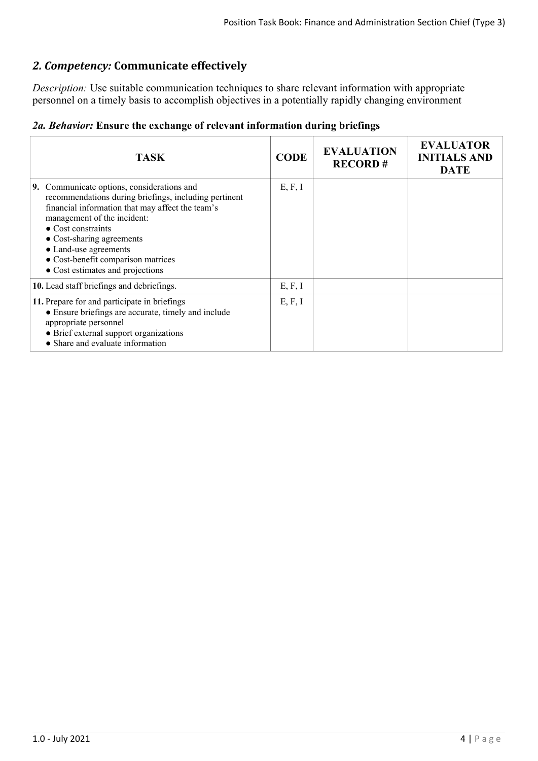# *2. Competency:* **Communicate effectively**

*Description:* Use suitable communication techniques to share relevant information with appropriate personnel on a timely basis to accomplish objectives in a potentially rapidly changing environment

|  |  |  |  |  | 2a. Behavior: Ensure the exchange of relevant information during briefings |  |  |
|--|--|--|--|--|----------------------------------------------------------------------------|--|--|
|--|--|--|--|--|----------------------------------------------------------------------------|--|--|

| <b>TASK</b>                                                                                                                                                                                                                                                                                                                                                 | <b>CODE</b> | <b>EVALUATION</b><br><b>RECORD#</b> | <b>EVALUATOR</b><br><b>INITIALS AND</b><br><b>DATE</b> |
|-------------------------------------------------------------------------------------------------------------------------------------------------------------------------------------------------------------------------------------------------------------------------------------------------------------------------------------------------------------|-------------|-------------------------------------|--------------------------------------------------------|
| <b>9.</b> Communicate options, considerations and<br>recommendations during briefings, including pertinent<br>financial information that may affect the team's<br>management of the incident:<br>$\bullet$ Cost constraints<br>• Cost-sharing agreements<br>• Land-use agreements<br>• Cost-benefit comparison matrices<br>• Cost estimates and projections | E, F, I     |                                     |                                                        |
| 10. Lead staff briefings and debriefings.                                                                                                                                                                                                                                                                                                                   | E, F, I     |                                     |                                                        |
| 11. Prepare for and participate in briefings<br>• Ensure briefings are accurate, timely and include<br>appropriate personnel<br>• Brief external support organizations<br>• Share and evaluate information                                                                                                                                                  | E, F, I     |                                     |                                                        |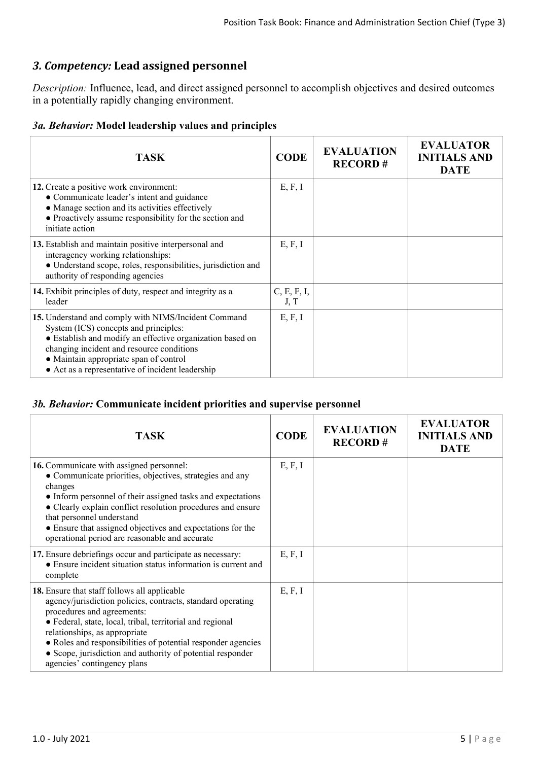# *3. Competency:* **Lead assigned personnel**

*Description:* Influence, lead, and direct assigned personnel to accomplish objectives and desired outcomes in a potentially rapidly changing environment.

#### *3a. Behavior:* **Model leadership values and principles**

| <b>TASK</b>                                                                                                                                                                                                                                                                                           | <b>CODE</b>         | <b>EVALUATION</b><br><b>RECORD#</b> | <b>EVALUATOR</b><br><b>INITIALS AND</b><br><b>DATE</b> |
|-------------------------------------------------------------------------------------------------------------------------------------------------------------------------------------------------------------------------------------------------------------------------------------------------------|---------------------|-------------------------------------|--------------------------------------------------------|
| 12. Create a positive work environment:<br>• Communicate leader's intent and guidance<br>• Manage section and its activities effectively<br>• Proactively assume responsibility for the section and<br>initiate action                                                                                | E, F, I             |                                     |                                                        |
| 13. Establish and maintain positive interpersonal and<br>interagency working relationships:<br>· Understand scope, roles, responsibilities, jurisdiction and<br>authority of responding agencies                                                                                                      | E, F, I             |                                     |                                                        |
| 14. Exhibit principles of duty, respect and integrity as a<br>leader                                                                                                                                                                                                                                  | C, E, F, I,<br>J, T |                                     |                                                        |
| 15. Understand and comply with NIMS/Incident Command<br>System (ICS) concepts and principles:<br>• Establish and modify an effective organization based on<br>changing incident and resource conditions<br>• Maintain appropriate span of control<br>• Act as a representative of incident leadership | E, F, I             |                                     |                                                        |

#### *3b. Behavior:* **Communicate incident priorities and supervise personnel**

| <b>TASK</b>                                                                                                                                                                                                                                                                                                                                                                                          | <b>CODE</b> | <b>EVALUATION</b><br><b>RECORD#</b> | <b>EVALUATOR</b><br><b>INITIALS AND</b><br><b>DATE</b> |
|------------------------------------------------------------------------------------------------------------------------------------------------------------------------------------------------------------------------------------------------------------------------------------------------------------------------------------------------------------------------------------------------------|-------------|-------------------------------------|--------------------------------------------------------|
| 16. Communicate with assigned personnel:<br>• Communicate priorities, objectives, strategies and any<br>changes<br>• Inform personnel of their assigned tasks and expectations<br>• Clearly explain conflict resolution procedures and ensure<br>that personnel understand<br>• Ensure that assigned objectives and expectations for the<br>operational period are reasonable and accurate           | E, F, I     |                                     |                                                        |
| 17. Ensure debriefings occur and participate as necessary:<br>• Ensure incident situation status information is current and<br>complete                                                                                                                                                                                                                                                              | E, F, I     |                                     |                                                        |
| 18. Ensure that staff follows all applicable<br>agency/jurisdiction policies, contracts, standard operating<br>procedures and agreements:<br>· Federal, state, local, tribal, territorial and regional<br>relationships, as appropriate<br>• Roles and responsibilities of potential responder agencies<br>• Scope, jurisdiction and authority of potential responder<br>agencies' contingency plans | E, F, I     |                                     |                                                        |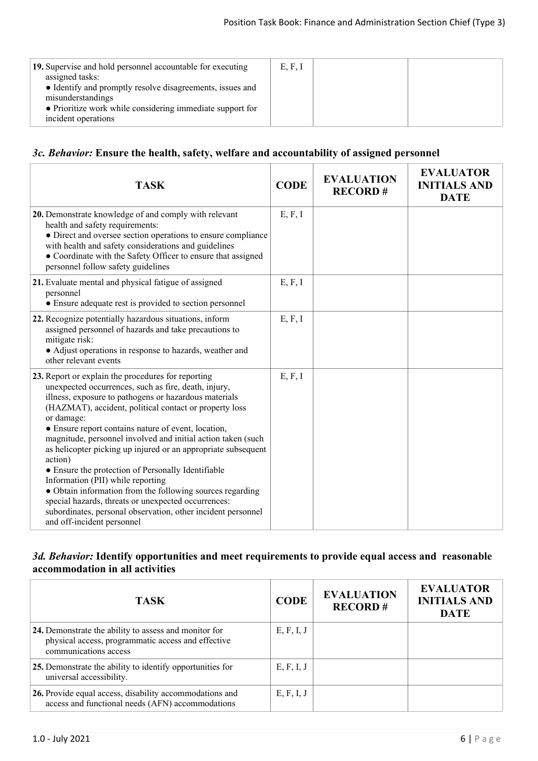| 19. Supervise and hold personnel accountable for executing<br>assigned tasks:<br>• Identify and promptly resolve disagreements, issues and<br>misunderstandings<br>• Prioritize work while considering immediate support for<br>incident operations | E, F, I |  |
|-----------------------------------------------------------------------------------------------------------------------------------------------------------------------------------------------------------------------------------------------------|---------|--|
|                                                                                                                                                                                                                                                     |         |  |

#### *3c. Behavior:* **Ensure the health, safety, welfare and accountability of assigned personnel**

| <b>TASK</b>                                                                                                                                                                                                                                                                                                                                                                                                                                                                                                                                                                                                                                                                                                                                                 | <b>CODE</b> | <b>EVALUATION</b><br><b>RECORD#</b> | <b>EVALUATOR</b><br><b>INITIALS AND</b><br><b>DATE</b> |
|-------------------------------------------------------------------------------------------------------------------------------------------------------------------------------------------------------------------------------------------------------------------------------------------------------------------------------------------------------------------------------------------------------------------------------------------------------------------------------------------------------------------------------------------------------------------------------------------------------------------------------------------------------------------------------------------------------------------------------------------------------------|-------------|-------------------------------------|--------------------------------------------------------|
| 20. Demonstrate knowledge of and comply with relevant<br>health and safety requirements:<br>• Direct and oversee section operations to ensure compliance<br>with health and safety considerations and guidelines<br>• Coordinate with the Safety Officer to ensure that assigned<br>personnel follow safety guidelines                                                                                                                                                                                                                                                                                                                                                                                                                                      | E, F, I     |                                     |                                                        |
| 21. Evaluate mental and physical fatigue of assigned<br>personnel<br>• Ensure adequate rest is provided to section personnel                                                                                                                                                                                                                                                                                                                                                                                                                                                                                                                                                                                                                                | E, F, I     |                                     |                                                        |
| 22. Recognize potentially hazardous situations, inform<br>assigned personnel of hazards and take precautions to<br>mitigate risk:<br>• Adjust operations in response to hazards, weather and<br>other relevant events                                                                                                                                                                                                                                                                                                                                                                                                                                                                                                                                       | E, F, I     |                                     |                                                        |
| 23. Report or explain the procedures for reporting<br>unexpected occurrences, such as fire, death, injury,<br>illness, exposure to pathogens or hazardous materials<br>(HAZMAT), accident, political contact or property loss<br>or damage:<br>• Ensure report contains nature of event, location,<br>magnitude, personnel involved and initial action taken (such<br>as helicopter picking up injured or an appropriate subsequent<br>action)<br>• Ensure the protection of Personally Identifiable<br>Information (PII) while reporting<br>• Obtain information from the following sources regarding<br>special hazards, threats or unexpected occurrences:<br>subordinates, personal observation, other incident personnel<br>and off-incident personnel | E, F, I     |                                     |                                                        |

#### *3d. Behavior:* **Identify opportunities and meet requirements to provide equal access and reasonable accommodation in all activities**

| <b>TASK</b>                                                                                                                          | <b>CODE</b> | <b>EVALUATION</b><br><b>RECORD#</b> | <b>EVALUATOR</b><br><b>INITIALS AND</b><br><b>DATE</b> |
|--------------------------------------------------------------------------------------------------------------------------------------|-------------|-------------------------------------|--------------------------------------------------------|
| 24. Demonstrate the ability to assess and monitor for<br>physical access, programmatic access and effective<br>communications access | E, F, I, J  |                                     |                                                        |
| 25. Demonstrate the ability to identify opportunities for<br>universal accessibility.                                                | E, F, I, J  |                                     |                                                        |
| 26. Provide equal access, disability accommodations and<br>access and functional needs (AFN) accommodations                          | E, F, I, J  |                                     |                                                        |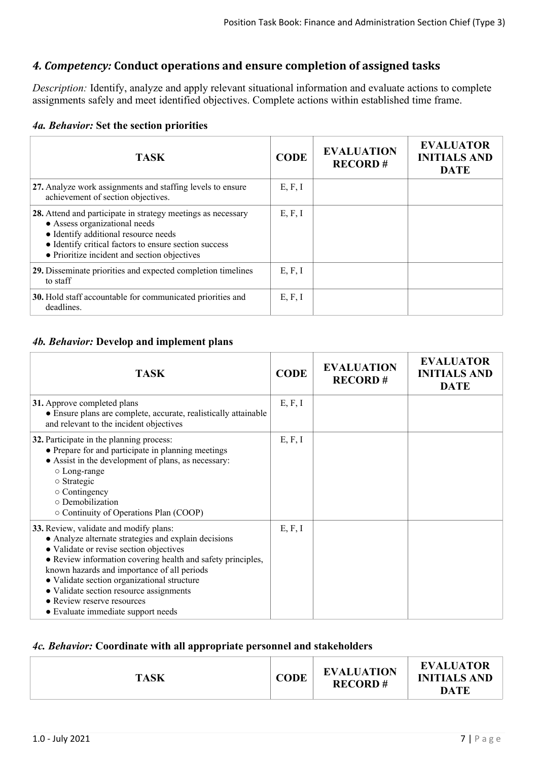# *4. Competency:* **Conduct operations and ensure completion of assigned tasks**

*Description:* Identify, analyze and apply relevant situational information and evaluate actions to complete assignments safely and meet identified objectives. Complete actions within established time frame.

#### *4a. Behavior:* **Set the section priorities**

| <b>TASK</b>                                                                                                                                                                                                                                    | <b>CODE</b> | <b>EVALUATION</b><br><b>RECORD#</b> | <b>EVALUATOR</b><br><b>INITIALS AND</b><br><b>DATE</b> |
|------------------------------------------------------------------------------------------------------------------------------------------------------------------------------------------------------------------------------------------------|-------------|-------------------------------------|--------------------------------------------------------|
| 27. Analyze work assignments and staffing levels to ensure<br>achievement of section objectives.                                                                                                                                               | E, F, I     |                                     |                                                        |
| 28. Attend and participate in strategy meetings as necessary<br>• Assess organizational needs<br>• Identify additional resource needs<br>• Identify critical factors to ensure section success<br>• Prioritize incident and section objectives | E, F, I     |                                     |                                                        |
| 29. Disseminate priorities and expected completion timelines<br>to staff                                                                                                                                                                       | E, F, I     |                                     |                                                        |
| 30. Hold staff accountable for communicated priorities and<br>deadlines.                                                                                                                                                                       | E, F, I     |                                     |                                                        |

#### *4b. Behavior:* **Develop and implement plans**

| <b>TASK</b>                                                                                                                                                                                                                                                                                                                                                                                                           | <b>CODE</b> | <b>EVALUATION</b><br><b>RECORD#</b> | <b>EVALUATOR</b><br><b>INITIALS AND</b><br><b>DATE</b> |
|-----------------------------------------------------------------------------------------------------------------------------------------------------------------------------------------------------------------------------------------------------------------------------------------------------------------------------------------------------------------------------------------------------------------------|-------------|-------------------------------------|--------------------------------------------------------|
| 31. Approve completed plans<br>• Ensure plans are complete, accurate, realistically attainable<br>and relevant to the incident objectives                                                                                                                                                                                                                                                                             | E, F, I     |                                     |                                                        |
| 32. Participate in the planning process:<br>• Prepare for and participate in planning meetings<br>• Assist in the development of plans, as necessary:<br>$\circ$ Long-range<br>$\circ$ Strategic<br>$\circ$ Contingency<br>o Demobilization<br>○ Continuity of Operations Plan (COOP)                                                                                                                                 | E, F, I     |                                     |                                                        |
| 33. Review, validate and modify plans:<br>• Analyze alternate strategies and explain decisions<br>• Validate or revise section objectives<br>• Review information covering health and safety principles,<br>known hazards and importance of all periods<br>• Validate section organizational structure<br>• Validate section resource assignments<br>• Review reserve resources<br>• Evaluate immediate support needs | E, F, I     |                                     |                                                        |

#### *4c. Behavior:* **Coordinate with all appropriate personnel and stakeholders**

| <b>TASK</b> | <b>CODE</b> | <b>EVALUATION</b><br><b>RECORD#</b> | <b>EVALUATOR</b><br><b>INITIALS AND</b><br><b>DATE</b> |
|-------------|-------------|-------------------------------------|--------------------------------------------------------|
|             |             |                                     |                                                        |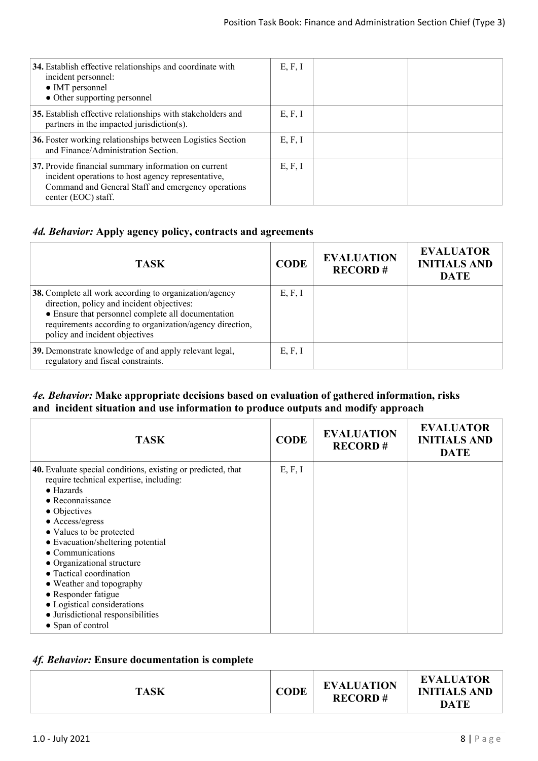| 34. Establish effective relationships and coordinate with<br>incident personnel:<br>• IMT personnel<br>• Other supporting personnel                                                     | E, F, I |  |
|-----------------------------------------------------------------------------------------------------------------------------------------------------------------------------------------|---------|--|
| 35. Establish effective relationships with stakeholders and<br>partners in the impacted jurisdiction(s).                                                                                | E, F, I |  |
| 36. Foster working relationships between Logistics Section<br>and Finance/Administration Section.                                                                                       | E, F, I |  |
| 37. Provide financial summary information on current<br>incident operations to host agency representative,<br>Command and General Staff and emergency operations<br>center (EOC) staff. | E, F, I |  |

#### *4d. Behavior:* **Apply agency policy, contracts and agreements**

| <b>TASK</b>                                                                                                                                                                                                                                              | <b>CODE</b> | <b>EVALUATION</b><br><b>RECORD#</b> | <b>EVALUATOR</b><br><b>INITIALS AND</b><br><b>DATE</b> |
|----------------------------------------------------------------------------------------------------------------------------------------------------------------------------------------------------------------------------------------------------------|-------------|-------------------------------------|--------------------------------------------------------|
| 38. Complete all work according to organization/agency<br>direction, policy and incident objectives:<br>• Ensure that personnel complete all documentation<br>requirements according to organization/agency direction,<br>policy and incident objectives | E, F, I     |                                     |                                                        |
| 39. Demonstrate knowledge of and apply relevant legal,<br>regulatory and fiscal constraints.                                                                                                                                                             | E, F, I     |                                     |                                                        |

#### *4e. Behavior:* **Make appropriate decisions based on evaluation of gathered information, risks and incident situation and use information to produce outputs and modify approach**

| <b>TASK</b>                                                  | <b>CODE</b> | <b>EVALUATION</b><br><b>RECORD#</b> | <b>EVALUATOR</b><br><b>INITIALS AND</b><br><b>DATE</b> |
|--------------------------------------------------------------|-------------|-------------------------------------|--------------------------------------------------------|
| 40. Evaluate special conditions, existing or predicted, that | E, F, I     |                                     |                                                        |
| require technical expertise, including:<br>$\bullet$ Hazards |             |                                     |                                                        |
| $\bullet$ Reconnaissance                                     |             |                                     |                                                        |
| $\bullet$ Objectives                                         |             |                                     |                                                        |
| • Access/egress                                              |             |                                     |                                                        |
| • Values to be protected                                     |             |                                     |                                                        |
| • Evacuation/sheltering potential                            |             |                                     |                                                        |
| $\bullet$ Communications                                     |             |                                     |                                                        |
| • Organizational structure                                   |             |                                     |                                                        |
| • Tactical coordination                                      |             |                                     |                                                        |
| • Weather and topography                                     |             |                                     |                                                        |
| • Responder fatigue                                          |             |                                     |                                                        |
| • Logistical considerations                                  |             |                                     |                                                        |
| • Jurisdictional responsibilities                            |             |                                     |                                                        |
| • Span of control                                            |             |                                     |                                                        |

## *4f. Behavior:* **Ensure documentation is complete**

| <b>EVALUATOR</b><br><b>EVALUATION</b><br><b>CODE</b><br><b>INITIALS AND</b><br><b>TASK</b><br><b>RECORD#</b><br>DATE |
|----------------------------------------------------------------------------------------------------------------------|
|----------------------------------------------------------------------------------------------------------------------|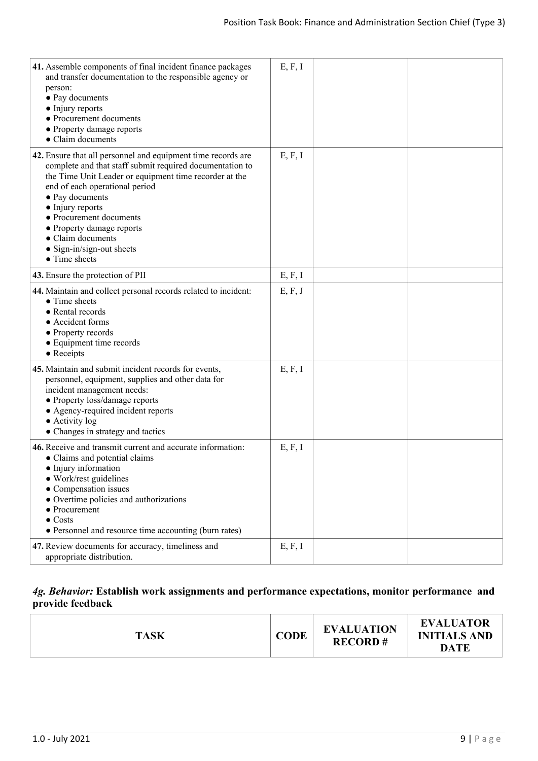| 41. Assemble components of final incident finance packages<br>and transfer documentation to the responsible agency or<br>person:<br>• Pay documents<br>• Injury reports<br>• Procurement documents<br>• Property damage reports<br>• Claim documents                                                                                                                                           | E, F, I |  |
|------------------------------------------------------------------------------------------------------------------------------------------------------------------------------------------------------------------------------------------------------------------------------------------------------------------------------------------------------------------------------------------------|---------|--|
| 42. Ensure that all personnel and equipment time records are<br>complete and that staff submit required documentation to<br>the Time Unit Leader or equipment time recorder at the<br>end of each operational period<br>• Pay documents<br>• Injury reports<br>• Procurement documents<br>• Property damage reports<br>• Claim documents<br>$\bullet$ Sign-in/sign-out sheets<br>• Time sheets | E, F, I |  |
| 43. Ensure the protection of PII                                                                                                                                                                                                                                                                                                                                                               | E, F, I |  |
| 44. Maintain and collect personal records related to incident:<br>• Time sheets<br>• Rental records<br>• Accident forms<br>• Property records<br>• Equipment time records<br>$\bullet$ Receipts                                                                                                                                                                                                | E, F, J |  |
| 45. Maintain and submit incident records for events,<br>personnel, equipment, supplies and other data for<br>incident management needs:<br>• Property loss/damage reports<br>• Agency-required incident reports<br>• Activity log<br>• Changes in strategy and tactics                                                                                                                         | E, F, I |  |
| 46. Receive and transmit current and accurate information:<br>• Claims and potential claims<br>• Injury information<br>• Work/rest guidelines<br>• Compensation issues<br>• Overtime policies and authorizations<br>$\bullet$ Procurement<br>$\bullet$ Costs<br>• Personnel and resource time accounting (burn rates)                                                                          | E, F, I |  |
| 47. Review documents for accuracy, timeliness and<br>appropriate distribution.                                                                                                                                                                                                                                                                                                                 | E, F, I |  |

## *4g. Behavior:* **Establish work assignments and performance expectations, monitor performance and provide feedback**

| <b>EVALUATION</b><br><b>CODE</b><br><b>TASK</b><br><b>RECORD#</b> |
|-------------------------------------------------------------------|
|-------------------------------------------------------------------|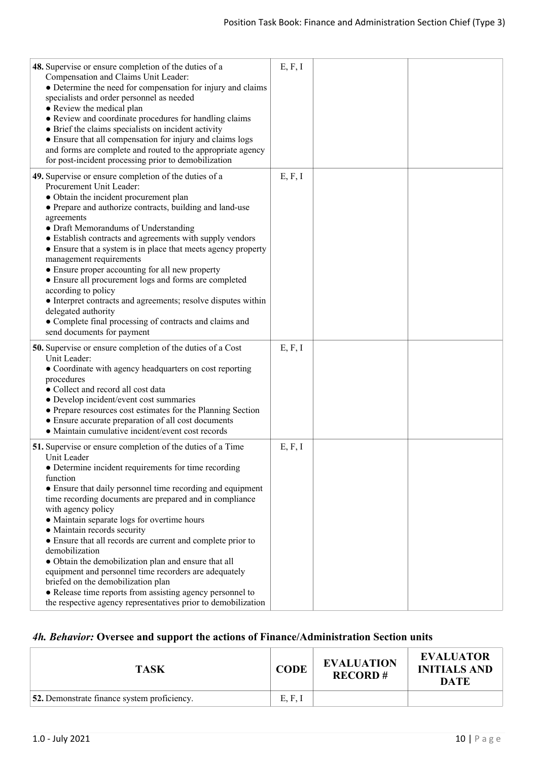| <b>48.</b> Supervise or ensure completion of the duties of a<br>Compensation and Claims Unit Leader:<br>• Determine the need for compensation for injury and claims<br>specialists and order personnel as needed<br>• Review the medical plan<br>• Review and coordinate procedures for handling claims<br>• Brief the claims specialists on incident activity<br>• Ensure that all compensation for injury and claims logs<br>and forms are complete and routed to the appropriate agency<br>for post-incident processing prior to demobilization                                                                                                                                                                                               | E, F, I |  |
|--------------------------------------------------------------------------------------------------------------------------------------------------------------------------------------------------------------------------------------------------------------------------------------------------------------------------------------------------------------------------------------------------------------------------------------------------------------------------------------------------------------------------------------------------------------------------------------------------------------------------------------------------------------------------------------------------------------------------------------------------|---------|--|
| 49. Supervise or ensure completion of the duties of a<br>Procurement Unit Leader:<br>• Obtain the incident procurement plan<br>• Prepare and authorize contracts, building and land-use<br>agreements<br>• Draft Memorandums of Understanding<br>• Establish contracts and agreements with supply vendors<br>• Ensure that a system is in place that meets agency property<br>management requirements<br>• Ensure proper accounting for all new property<br>• Ensure all procurement logs and forms are completed<br>according to policy<br>• Interpret contracts and agreements; resolve disputes within<br>delegated authority<br>• Complete final processing of contracts and claims and<br>send documents for payment                        | E, F, I |  |
| <b>50.</b> Supervise or ensure completion of the duties of a Cost<br>Unit Leader:<br>• Coordinate with agency headquarters on cost reporting<br>procedures<br>• Collect and record all cost data<br>• Develop incident/event cost summaries<br>• Prepare resources cost estimates for the Planning Section<br>• Ensure accurate preparation of all cost documents<br>• Maintain cumulative incident/event cost records                                                                                                                                                                                                                                                                                                                           | E, F, I |  |
| 51. Supervise or ensure completion of the duties of a Time<br>Unit Leader<br>• Determine incident requirements for time recording<br>function<br>• Ensure that daily personnel time recording and equipment<br>time recording documents are prepared and in compliance<br>with agency policy<br>• Maintain separate logs for overtime hours<br>• Maintain records security<br>• Ensure that all records are current and complete prior to<br>demobilization<br>• Obtain the demobilization plan and ensure that all<br>equipment and personnel time recorders are adequately<br>briefed on the demobilization plan<br>• Release time reports from assisting agency personnel to<br>the respective agency representatives prior to demobilization | E, F, I |  |

## *4h. Behavior:* **Oversee and support the actions of Finance/Administration Section units**

| <b>TASK</b>                                        | <b>CODE</b> | <b>EVALUATION</b><br><b>RECORD#</b> | <b>EVALUATOR</b><br><b>INITIALS AND</b><br><b>DATE</b> |
|----------------------------------------------------|-------------|-------------------------------------|--------------------------------------------------------|
| <b>52.</b> Demonstrate finance system proficiency. | E, F, I     |                                     |                                                        |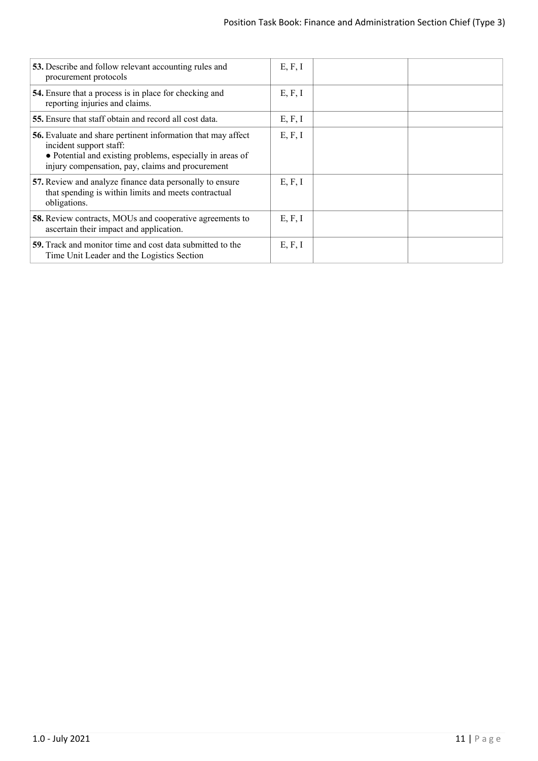| 53. Describe and follow relevant accounting rules and<br>procurement protocols                                                                                                                                  | E, F, I |  |
|-----------------------------------------------------------------------------------------------------------------------------------------------------------------------------------------------------------------|---------|--|
| 54. Ensure that a process is in place for checking and<br>reporting injuries and claims.                                                                                                                        | E, F, I |  |
| 55. Ensure that staff obtain and record all cost data.                                                                                                                                                          | E, F, I |  |
| <b>56.</b> Evaluate and share pertinent information that may affect<br>incident support staff:<br>• Potential and existing problems, especially in areas of<br>injury compensation, pay, claims and procurement | E, F, I |  |
| 57. Review and analyze finance data personally to ensure<br>that spending is within limits and meets contractual<br>obligations.                                                                                | E, F, I |  |
| <b>58.</b> Review contracts, MOUs and cooperative agreements to<br>ascertain their impact and application.                                                                                                      | E, F, I |  |
| <b>59.</b> Track and monitor time and cost data submitted to the<br>Time Unit Leader and the Logistics Section                                                                                                  | E, F, I |  |